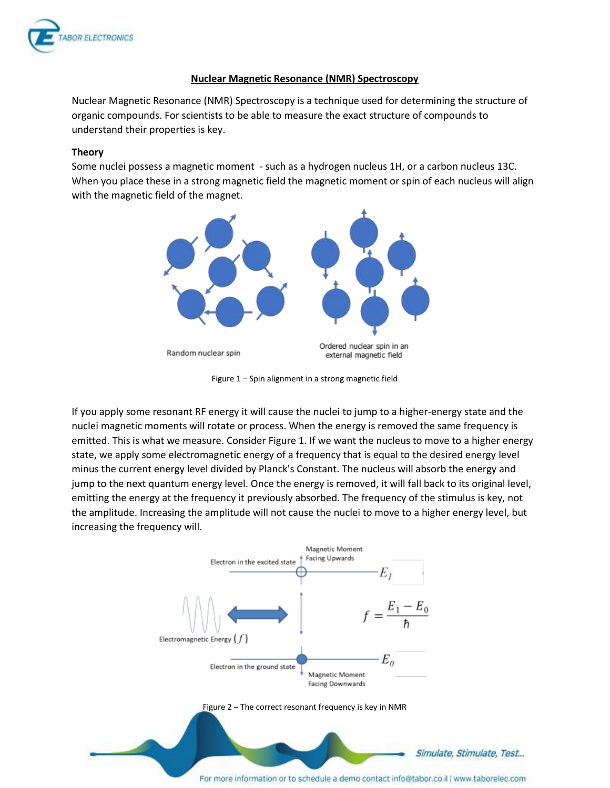

## **Nuclear Magnetic Resonance (NMR) Spectroscopy**

Nuclear Magnetic Resonance (NMR) Spectroscopy is a technique used for determining the structure of organic compounds. For scientists to be able to measure the exact structure of compounds to understand their properties is key.

### **Theory**

Some nuclei possess a magnetic moment - such as a hydrogen nucleus 1H, or a carbon nucleus 13C. When you place these in a strong magnetic field the magnetic moment or spin of each nucleus will align with the magnetic field of the magnet.



Figure 1 – Spin alignment in a strong magnetic field

If you apply some resonant RF energy it will cause the nuclei to jump to a higher-energy state and the nuclei magnetic moments will rotate or process. When the energy is removed the same frequency is emitted. This is what we measure. Consider Figure 1. If we want the nucleus to move to a higher energy state, we apply some electromagnetic energy of a frequency that is equal to the desired energy level minus the current energy level divided by Planck's Constant. The nucleus will absorb the energy and jump to the next quantum energy level. Once the energy is removed, it will fall back to its original level, emitting the energy at the frequency it previously absorbed. The frequency of the stimulus is key, not the amplitude. Increasing the amplitude will not cause the nuclei to move to a higher energy level, but increasing the frequency will.

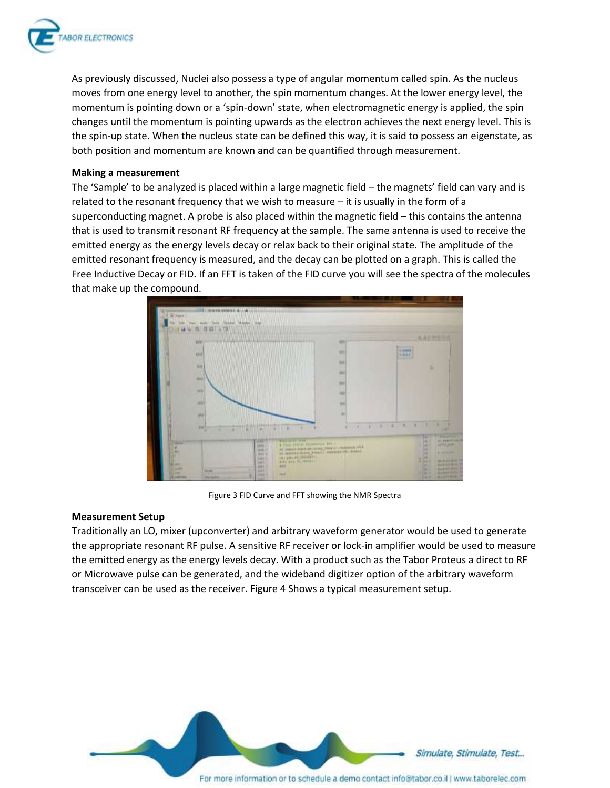

As previously discussed, Nuclei also possess a type of angular momentum called spin. As the nucleus moves from one energy level to another, the spin momentum changes. At the lower energy level, the momentum is pointing down or a 'spin-down' state, when electromagnetic energy is applied, the spin changes until the momentum is pointing upwards as the electron achieves the next energy level. This is the spin-up state. When the nucleus state can be defined this way, it is said to possess an eigenstate, as both position and momentum are known and can be quantified through measurement.

### **Making a measurement**

The 'Sample' to be analyzed is placed within a large magnetic field – the magnets' field can vary and is related to the resonant frequency that we wish to measure – it is usually in the form of a superconducting magnet. A probe is also placed within the magnetic field – this contains the antenna that is used to transmit resonant RF frequency at the sample. The same antenna is used to receive the emitted energy as the energy levels decay or relax back to their original state. The amplitude of the emitted resonant frequency is measured, and the decay can be plotted on a graph. This is called the Free Inductive Decay or FID. If an FFT is taken of the FID curve you will see the spectra of the molecules that make up the compound.



Figure 3 FID Curve and FFT showing the NMR Spectra

#### **Measurement Setup**

Traditionally an LO, mixer (upconverter) and arbitrary waveform generator would be used to generate the appropriate resonant RF pulse. A sensitive RF receiver or lock-in amplifier would be used to measure the emitted energy as the energy levels decay. With a product such as the Tabor Proteus a direct to RF or Microwave pulse can be generated, and the wideband digitizer option of the arbitrary waveform transceiver can be used as the receiver. Figure 4 Shows a typical measurement setup.

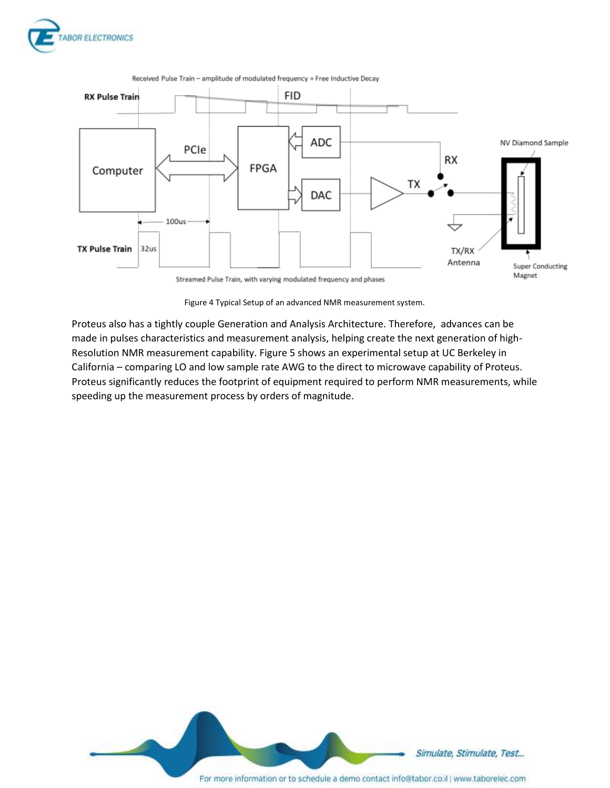



Received Pulse Train - amplitude of modulated frequency = Free Inductive Decay

Figure 4 Typical Setup of an advanced NMR measurement system.

Proteus also has a tightly couple Generation and Analysis Architecture. Therefore, advances can be made in pulses characteristics and measurement analysis, helping create the next generation of high-Resolution NMR measurement capability. Figure 5 shows an experimental setup at UC Berkeley in California – comparing LO and low sample rate AWG to the direct to microwave capability of Proteus. Proteus significantly reduces the footprint of equipment required to perform NMR measurements, while speeding up the measurement process by orders of magnitude.